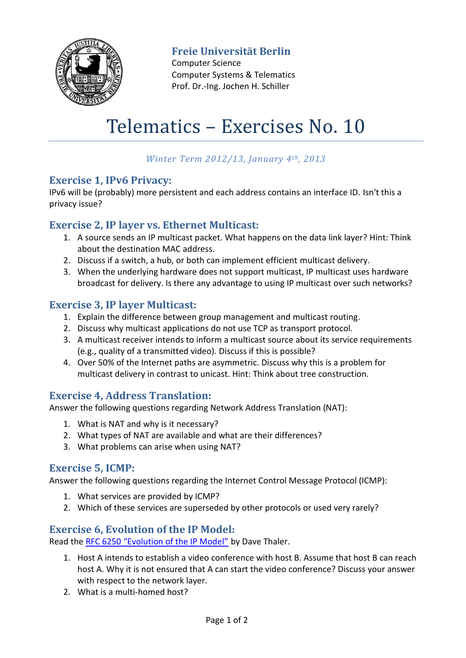

**Freie Universität Berlin**

Computer Science Computer Systems & Telematics Prof. Dr.-Ing. Jochen H. Schiller

# Telematics – Exercises No. 10

# *Winter Term 2012/13, January 4th, 2013*

## **Exercise 1, IPv6 Privacy:**

IPv6 will be (probably) more persistent and each address contains an interface ID. Isn't this a privacy issue?

## **Exercise 2, IP layer vs. Ethernet Multicast:**

- 1. A source sends an IP multicast packet. What happens on the data link layer? Hint: Think about the destination MAC address.
- 2. Discuss if a switch, a hub, or both can implement efficient multicast delivery.
- 3. When the underlying hardware does not support multicast, IP multicast uses hardware broadcast for delivery. Is there any advantage to using IP multicast over such networks?

## **Exercise 3, IP layer Multicast:**

- 1. Explain the difference between group management and multicast routing.
- 2. Discuss why multicast applications do not use TCP as transport protocol.
- 3. A multicast receiver intends to inform a multicast source about its service requirements (e.g., quality of a transmitted video). Discuss if this is possible?
- 4. Over 50% of the Internet paths are asymmetric. Discuss why this is a problem for multicast delivery in contrast to unicast. Hint: Think about tree construction.

# **Exercise 4, Address Translation:**

Answer the following questions regarding Network Address Translation (NAT):

- 1. What is NAT and why is it necessary?
- 2. What types of NAT are available and what are their differences?
- 3. What problems can arise when using NAT?

## **Exercise 5, ICMP:**

Answer the following questions regarding the Internet Control Message Protocol (ICMP):

- 1. What services are provided by ICMP?
- 2. Which of these services are superseded by other protocols or used very rarely?

# **Exercise 6, Evolution of the IP Model:**

Read the RFC 6250 "[Evolution of the IP Mode](http://tools.ietf.org/html/rfc6250)l" by Dave Thaler.

- 1. Host A intends to establish a video conference with host B. Assume that host B can reach host A. Why it is not ensured that A can start the video conference? Discuss your answer with respect to the network layer.
- 2. What is a multi-homed host?